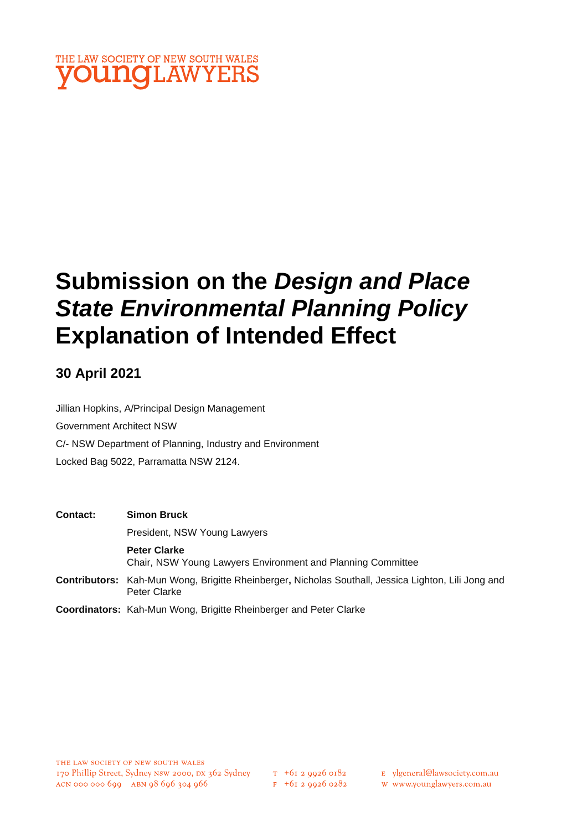

# **Submission on the** *Design and Place State Environmental Planning Policy* **Explanation of Intended Effect**

### **30 April 2021**

Jillian Hopkins, A/Principal Design Management Government Architect NSW C/- NSW Department of Planning, Industry and Environment Locked Bag 5022, Parramatta NSW 2124.

| <b>Contact:</b> | <b>Simon Bruck</b>                                                                                                                                                                                                                                                             |
|-----------------|--------------------------------------------------------------------------------------------------------------------------------------------------------------------------------------------------------------------------------------------------------------------------------|
|                 | President, NSW Young Lawyers                                                                                                                                                                                                                                                   |
|                 | <b>Peter Clarke</b><br>Chair, NSW Young Lawyers Environment and Planning Committee                                                                                                                                                                                             |
|                 | <b>Contributors:</b> Kah-Mun Wong, Brigitte Rheinberger, Nicholas Southall, Jessica Lighton, Lili Jong and<br>Peter Clarke                                                                                                                                                     |
|                 | $\bigcap_{i=1}^n A_i$ is the contract of $\bigcup_{i=1}^n A_i$ is the contract of $\bigcap_{i=1}^n A_i$ is the contract of $\bigcap_{i=1}^n A_i$ is the contract of $\bigcap_{i=1}^n A_i$ is the contract of $\bigcap_{i=1}^n A_i$ is the contract of $\bigcap_{i=1}^n A_i$ is |

**Coordinators:** Kah-Mun Wong, Brigitte Rheinberger and Peter Clarke

- E ylgeneral@lawsociety.com.au
- w www.younglawyers.com.au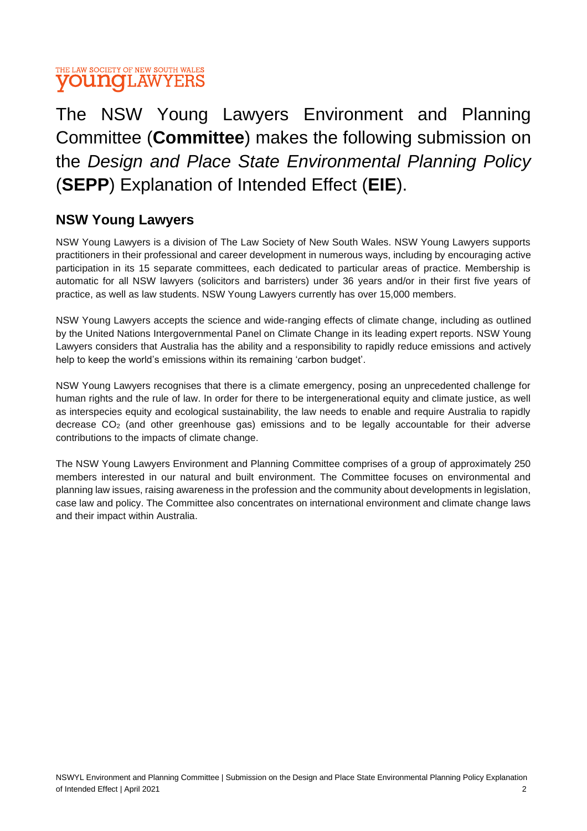

## The NSW Young Lawyers Environment and Planning Committee (**Committee**) makes the following submission on the *Design and Place State Environmental Planning Policy* (**SEPP**) Explanation of Intended Effect (**EIE**).

### **NSW Young Lawyers**

NSW Young Lawyers is a division of The Law Society of New South Wales. NSW Young Lawyers supports practitioners in their professional and career development in numerous ways, including by encouraging active participation in its 15 separate committees, each dedicated to particular areas of practice. Membership is automatic for all NSW lawyers (solicitors and barristers) under 36 years and/or in their first five years of practice, as well as law students. NSW Young Lawyers currently has over 15,000 members.

NSW Young Lawyers accepts the science and wide-ranging effects of climate change, including as outlined by the United Nations Intergovernmental Panel on Climate Change in its leading expert reports. NSW Young Lawyers considers that Australia has the ability and a responsibility to rapidly reduce emissions and actively help to keep the world's emissions within its remaining 'carbon budget'.

NSW Young Lawyers recognises that there is a climate emergency, posing an unprecedented challenge for human rights and the rule of law. In order for there to be intergenerational equity and climate justice, as well as interspecies equity and ecological sustainability, the law needs to enable and require Australia to rapidly decrease  $CO<sub>2</sub>$  (and other greenhouse gas) emissions and to be legally accountable for their adverse contributions to the impacts of climate change.

The NSW Young Lawyers Environment and Planning Committee comprises of a group of approximately 250 members interested in our natural and built environment. The Committee focuses on environmental and planning law issues, raising awareness in the profession and the community about developments in legislation, case law and policy. The Committee also concentrates on international environment and climate change laws and their impact within Australia.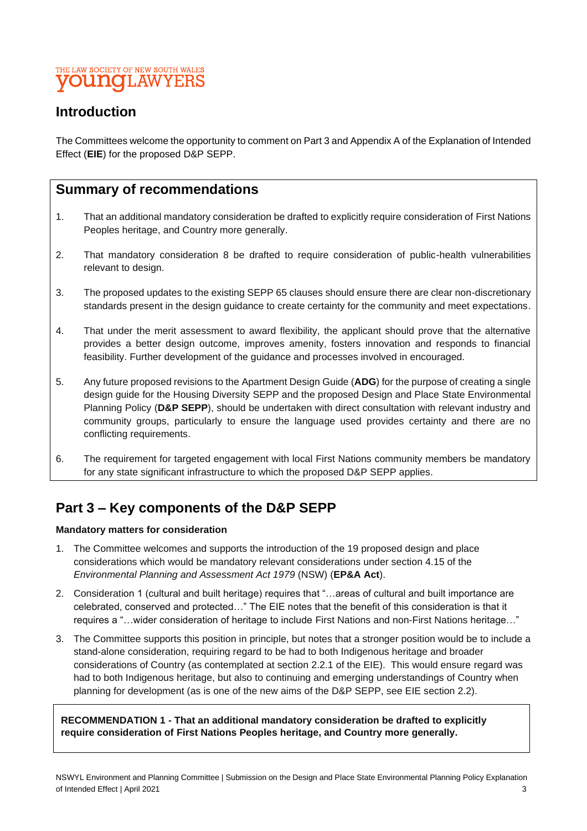### THE LAW SOCIETY OF NEW SOUTH WALES **YOUNGLAWYERS**

### **Introduction**

The Committees welcome the opportunity to comment on Part 3 and Appendix A of the Explanation of Intended Effect (**EIE**) for the proposed D&P SEPP.

### **Summary of recommendations**

- 1. That an additional mandatory consideration be drafted to explicitly require consideration of First Nations Peoples heritage, and Country more generally.
- 2. That mandatory consideration 8 be drafted to require consideration of public-health vulnerabilities relevant to design.
- 3. The proposed updates to the existing SEPP 65 clauses should ensure there are clear non-discretionary standards present in the design guidance to create certainty for the community and meet expectations.
- 4. That under the merit assessment to award flexibility, the applicant should prove that the alternative provides a better design outcome, improves amenity, fosters innovation and responds to financial feasibility. Further development of the guidance and processes involved in encouraged.
- 5. Any future proposed revisions to the Apartment Design Guide (**ADG**) for the purpose of creating a single design guide for the Housing Diversity SEPP and the proposed Design and Place State Environmental Planning Policy (**D&P SEPP**), should be undertaken with direct consultation with relevant industry and community groups, particularly to ensure the language used provides certainty and there are no conflicting requirements.
- 6. The requirement for targeted engagement with local First Nations community members be mandatory for any state significant infrastructure to which the proposed D&P SEPP applies.

### **Part 3 – Key components of the D&P SEPP**

#### **Mandatory matters for consideration**

- 1. The Committee welcomes and supports the introduction of the 19 proposed design and place considerations which would be mandatory relevant considerations under section 4.15 of the *Environmental Planning and Assessment Act 1979* (NSW) (**EP&A Act**).
- 2. Consideration 1 (cultural and built heritage) requires that "…areas of cultural and built importance are celebrated, conserved and protected…" The EIE notes that the benefit of this consideration is that it requires a "…wider consideration of heritage to include First Nations and non-First Nations heritage…"
- 3. The Committee supports this position in principle, but notes that a stronger position would be to include a stand-alone consideration, requiring regard to be had to both Indigenous heritage and broader considerations of Country (as contemplated at section 2.2.1 of the EIE). This would ensure regard was had to both Indigenous heritage, but also to continuing and emerging understandings of Country when planning for development (as is one of the new aims of the D&P SEPP, see EIE section 2.2).

**RECOMMENDATION 1 - That an additional mandatory consideration be drafted to explicitly require consideration of First Nations Peoples heritage, and Country more generally.**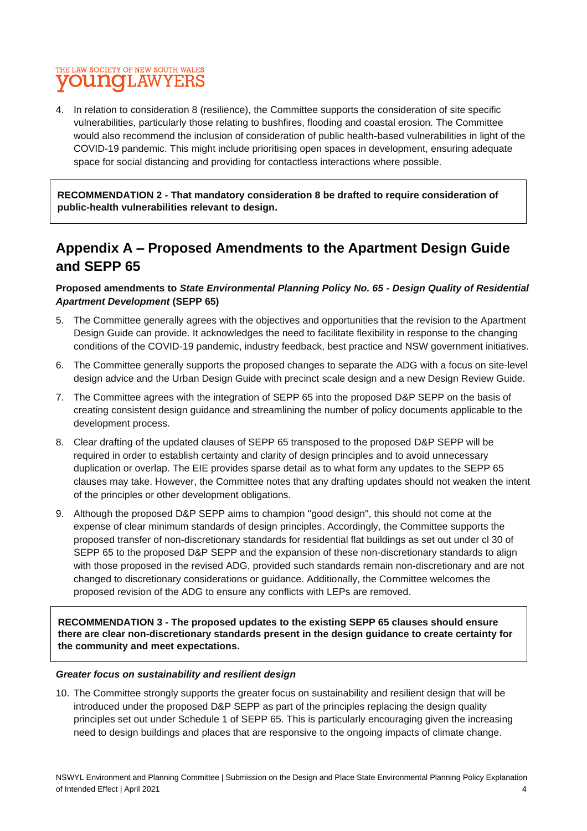### THE LAW SOCIETY OF NEW SOUTH WALES **OUNCLAWYERS**

4. In relation to consideration 8 (resilience), the Committee supports the consideration of site specific vulnerabilities, particularly those relating to bushfires, flooding and coastal erosion. The Committee would also recommend the inclusion of consideration of public health-based vulnerabilities in light of the COVID-19 pandemic. This might include prioritising open spaces in development, ensuring adequate space for social distancing and providing for contactless interactions where possible.

**RECOMMENDATION 2 - That mandatory consideration 8 be drafted to require consideration of public-health vulnerabilities relevant to design.**

### **Appendix A – Proposed Amendments to the Apartment Design Guide and SEPP 65**

#### **Proposed amendments to** *State Environmental Planning Policy No. 65 - Design Quality of Residential Apartment Development* **(SEPP 65)**

- 5. The Committee generally agrees with the objectives and opportunities that the revision to the Apartment Design Guide can provide. It acknowledges the need to facilitate flexibility in response to the changing conditions of the COVID-19 pandemic, industry feedback, best practice and NSW government initiatives.
- 6. The Committee generally supports the proposed changes to separate the ADG with a focus on site-level design advice and the Urban Design Guide with precinct scale design and a new Design Review Guide.
- 7. The Committee agrees with the integration of SEPP 65 into the proposed D&P SEPP on the basis of creating consistent design guidance and streamlining the number of policy documents applicable to the development process.
- 8. Clear drafting of the updated clauses of SEPP 65 transposed to the proposed D&P SEPP will be required in order to establish certainty and clarity of design principles and to avoid unnecessary duplication or overlap. The EIE provides sparse detail as to what form any updates to the SEPP 65 clauses may take. However, the Committee notes that any drafting updates should not weaken the intent of the principles or other development obligations.
- 9. Although the proposed D&P SEPP aims to champion "good design", this should not come at the expense of clear minimum standards of design principles. Accordingly, the Committee supports the proposed transfer of non-discretionary standards for residential flat buildings as set out under cl 30 of SEPP 65 to the proposed D&P SEPP and the expansion of these non-discretionary standards to align with those proposed in the revised ADG, provided such standards remain non-discretionary and are not changed to discretionary considerations or guidance. Additionally, the Committee welcomes the proposed revision of the ADG to ensure any conflicts with LEPs are removed.

**RECOMMENDATION 3 - The proposed updates to the existing SEPP 65 clauses should ensure there are clear non-discretionary standards present in the design guidance to create certainty for the community and meet expectations.**

#### *Greater focus on sustainability and resilient design*

10. The Committee strongly supports the greater focus on sustainability and resilient design that will be introduced under the proposed D&P SEPP as part of the principles replacing the design quality principles set out under Schedule 1 of SEPP 65. This is particularly encouraging given the increasing need to design buildings and places that are responsive to the ongoing impacts of climate change.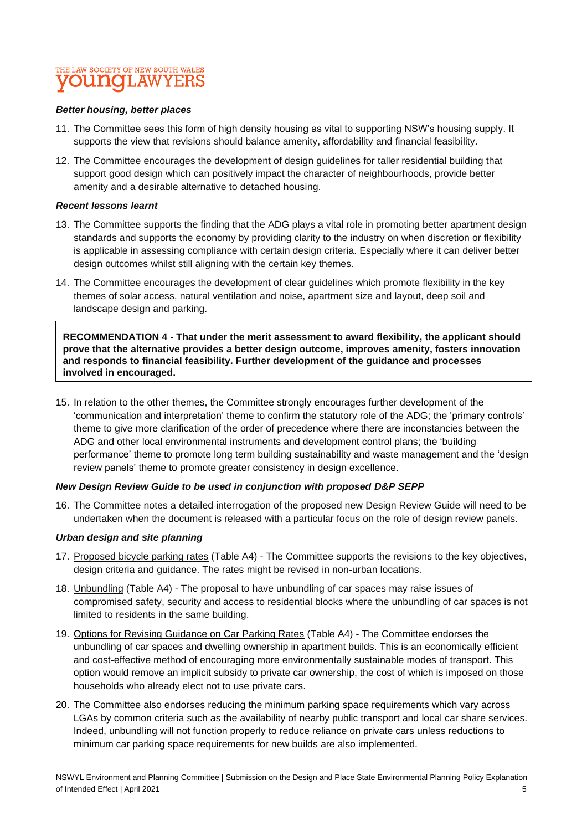### THE LAW SOCIETY OF NEW SOUTH WALES **YOUNGLAWYERS**

#### *Better housing, better places*

- 11. The Committee sees this form of high density housing as vital to supporting NSW's housing supply. It supports the view that revisions should balance amenity, affordability and financial feasibility.
- 12. The Committee encourages the development of design guidelines for taller residential building that support good design which can positively impact the character of neighbourhoods, provide better amenity and a desirable alternative to detached housing.

#### *Recent lessons learnt*

- 13. The Committee supports the finding that the ADG plays a vital role in promoting better apartment design standards and supports the economy by providing clarity to the industry on when discretion or flexibility is applicable in assessing compliance with certain design criteria. Especially where it can deliver better design outcomes whilst still aligning with the certain key themes.
- 14. The Committee encourages the development of clear guidelines which promote flexibility in the key themes of solar access, natural ventilation and noise, apartment size and layout, deep soil and landscape design and parking.

**RECOMMENDATION 4 - That under the merit assessment to award flexibility, the applicant should prove that the alternative provides a better design outcome, improves amenity, fosters innovation and responds to financial feasibility. Further development of the guidance and processes involved in encouraged.**

15. In relation to the other themes, the Committee strongly encourages further development of the 'communication and interpretation' theme to confirm the statutory role of the ADG; the 'primary controls' theme to give more clarification of the order of precedence where there are inconstancies between the ADG and other local environmental instruments and development control plans; the 'building performance' theme to promote long term building sustainability and waste management and the 'design review panels' theme to promote greater consistency in design excellence.

#### *New Design Review Guide to be used in conjunction with proposed D&P SEPP*

16. The Committee notes a detailed interrogation of the proposed new Design Review Guide will need to be undertaken when the document is released with a particular focus on the role of design review panels.

#### *Urban design and site planning*

- 17. Proposed bicycle parking rates (Table A4) The Committee supports the revisions to the key objectives, design criteria and guidance. The rates might be revised in non-urban locations.
- 18. Unbundling (Table A4) The proposal to have unbundling of car spaces may raise issues of compromised safety, security and access to residential blocks where the unbundling of car spaces is not limited to residents in the same building.
- 19. Options for Revising Guidance on Car Parking Rates (Table A4) The Committee endorses the unbundling of car spaces and dwelling ownership in apartment builds. This is an economically efficient and cost-effective method of encouraging more environmentally sustainable modes of transport. This option would remove an implicit subsidy to private car ownership, the cost of which is imposed on those households who already elect not to use private cars.
- 20. The Committee also endorses reducing the minimum parking space requirements which vary across LGAs by common criteria such as the availability of nearby public transport and local car share services. Indeed, unbundling will not function properly to reduce reliance on private cars unless reductions to minimum car parking space requirements for new builds are also implemented.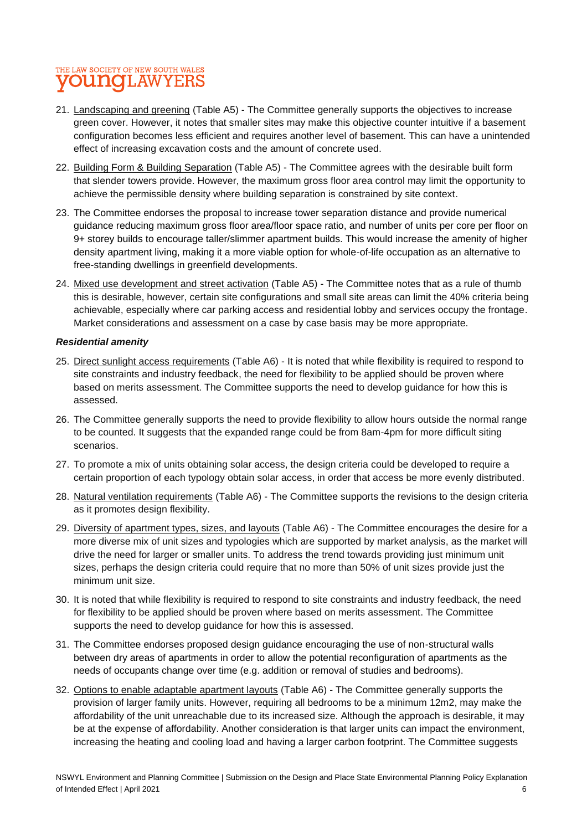### THE LAW SOCIETY OF NEW SOUTH WALES **young**LAWYERS

- 21. Landscaping and greening (Table A5) The Committee generally supports the objectives to increase green cover. However, it notes that smaller sites may make this objective counter intuitive if a basement configuration becomes less efficient and requires another level of basement. This can have a unintended effect of increasing excavation costs and the amount of concrete used.
- 22. Building Form & Building Separation (Table A5) The Committee agrees with the desirable built form that slender towers provide. However, the maximum gross floor area control may limit the opportunity to achieve the permissible density where building separation is constrained by site context.
- 23. The Committee endorses the proposal to increase tower separation distance and provide numerical guidance reducing maximum gross floor area/floor space ratio, and number of units per core per floor on 9+ storey builds to encourage taller/slimmer apartment builds. This would increase the amenity of higher density apartment living, making it a more viable option for whole-of-life occupation as an alternative to free-standing dwellings in greenfield developments.
- 24. Mixed use development and street activation (Table A5) The Committee notes that as a rule of thumb this is desirable, however, certain site configurations and small site areas can limit the 40% criteria being achievable, especially where car parking access and residential lobby and services occupy the frontage. Market considerations and assessment on a case by case basis may be more appropriate.

#### *Residential amenity*

- 25. Direct sunlight access requirements (Table A6) It is noted that while flexibility is required to respond to site constraints and industry feedback, the need for flexibility to be applied should be proven where based on merits assessment. The Committee supports the need to develop guidance for how this is assessed.
- 26. The Committee generally supports the need to provide flexibility to allow hours outside the normal range to be counted. It suggests that the expanded range could be from 8am-4pm for more difficult siting scenarios.
- 27. To promote a mix of units obtaining solar access, the design criteria could be developed to require a certain proportion of each typology obtain solar access, in order that access be more evenly distributed.
- 28. Natural ventilation requirements (Table A6) The Committee supports the revisions to the design criteria as it promotes design flexibility.
- 29. Diversity of apartment types, sizes, and layouts (Table A6) The Committee encourages the desire for a more diverse mix of unit sizes and typologies which are supported by market analysis, as the market will drive the need for larger or smaller units. To address the trend towards providing just minimum unit sizes, perhaps the design criteria could require that no more than 50% of unit sizes provide just the minimum unit size.
- 30. It is noted that while flexibility is required to respond to site constraints and industry feedback, the need for flexibility to be applied should be proven where based on merits assessment. The Committee supports the need to develop guidance for how this is assessed.
- 31. The Committee endorses proposed design guidance encouraging the use of non-structural walls between dry areas of apartments in order to allow the potential reconfiguration of apartments as the needs of occupants change over time (e.g. addition or removal of studies and bedrooms).
- 32. Options to enable adaptable apartment layouts (Table A6) The Committee generally supports the provision of larger family units. However, requiring all bedrooms to be a minimum 12m2, may make the affordability of the unit unreachable due to its increased size. Although the approach is desirable, it may be at the expense of affordability. Another consideration is that larger units can impact the environment, increasing the heating and cooling load and having a larger carbon footprint. The Committee suggests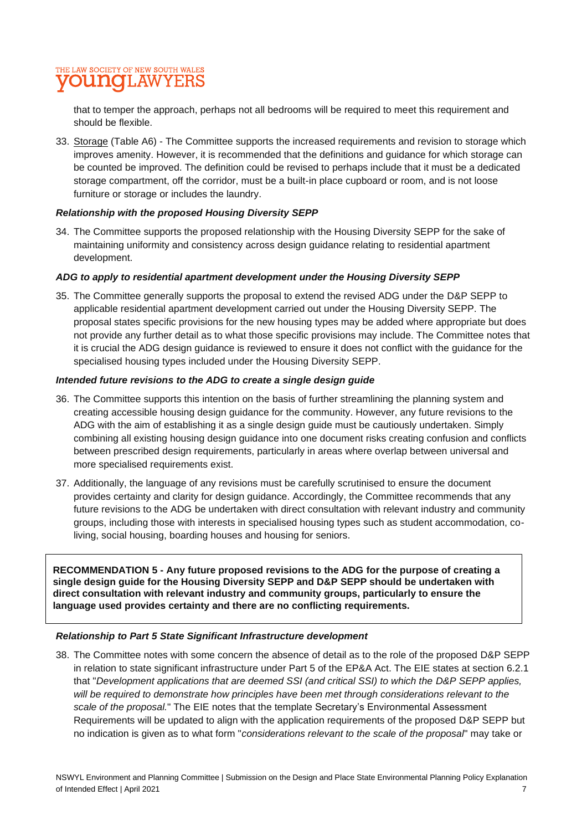### THE LAW SOCIETY OF NEW SOUTH WALES **VOUNGLAWYERS**

that to temper the approach, perhaps not all bedrooms will be required to meet this requirement and should be flexible.

33. Storage (Table A6) - The Committee supports the increased requirements and revision to storage which improves amenity. However, it is recommended that the definitions and guidance for which storage can be counted be improved. The definition could be revised to perhaps include that it must be a dedicated storage compartment, off the corridor, must be a built-in place cupboard or room, and is not loose furniture or storage or includes the laundry.

#### *Relationship with the proposed Housing Diversity SEPP*

34. The Committee supports the proposed relationship with the Housing Diversity SEPP for the sake of maintaining uniformity and consistency across design guidance relating to residential apartment development.

#### *ADG to apply to residential apartment development under the Housing Diversity SEPP*

35. The Committee generally supports the proposal to extend the revised ADG under the D&P SEPP to applicable residential apartment development carried out under the Housing Diversity SEPP. The proposal states specific provisions for the new housing types may be added where appropriate but does not provide any further detail as to what those specific provisions may include. The Committee notes that it is crucial the ADG design guidance is reviewed to ensure it does not conflict with the guidance for the specialised housing types included under the Housing Diversity SEPP.

#### *Intended future revisions to the ADG to create a single design guide*

- 36. The Committee supports this intention on the basis of further streamlining the planning system and creating accessible housing design guidance for the community. However, any future revisions to the ADG with the aim of establishing it as a single design guide must be cautiously undertaken. Simply combining all existing housing design guidance into one document risks creating confusion and conflicts between prescribed design requirements, particularly in areas where overlap between universal and more specialised requirements exist.
- 37. Additionally, the language of any revisions must be carefully scrutinised to ensure the document provides certainty and clarity for design guidance. Accordingly, the Committee recommends that any future revisions to the ADG be undertaken with direct consultation with relevant industry and community groups, including those with interests in specialised housing types such as student accommodation, coliving, social housing, boarding houses and housing for seniors.

**RECOMMENDATION 5 - Any future proposed revisions to the ADG for the purpose of creating a single design guide for the Housing Diversity SEPP and D&P SEPP should be undertaken with direct consultation with relevant industry and community groups, particularly to ensure the language used provides certainty and there are no conflicting requirements.**

#### *Relationship to Part 5 State Significant Infrastructure development*

38. The Committee notes with some concern the absence of detail as to the role of the proposed D&P SEPP in relation to state significant infrastructure under Part 5 of the EP&A Act. The EIE states at section 6.2.1 that "*Development applications that are deemed SSI (and critical SSI) to which the D&P SEPP applies, will be required to demonstrate how principles have been met through considerations relevant to the scale of the proposal.*" The EIE notes that the template Secretary's Environmental Assessment Requirements will be updated to align with the application requirements of the proposed D&P SEPP but no indication is given as to what form "*considerations relevant to the scale of the proposal*" may take or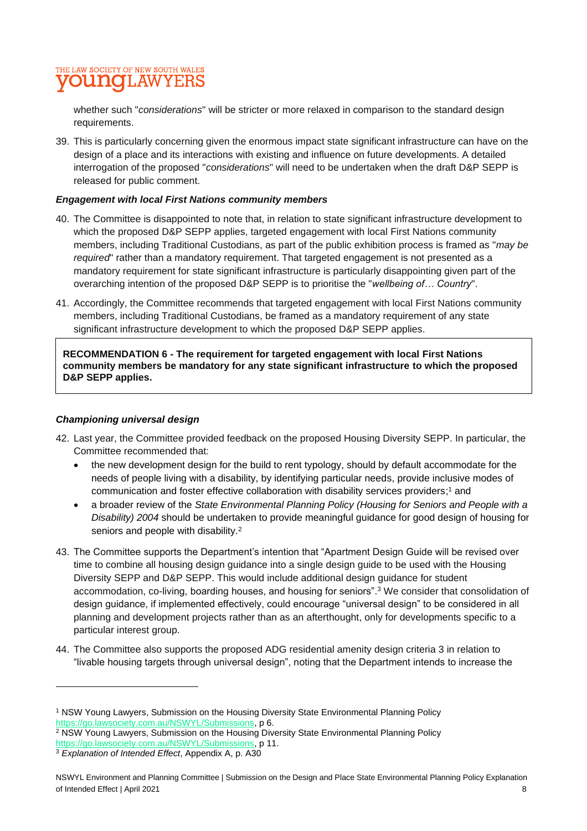

whether such "*considerations*" will be stricter or more relaxed in comparison to the standard design requirements.

39. This is particularly concerning given the enormous impact state significant infrastructure can have on the design of a place and its interactions with existing and influence on future developments. A detailed interrogation of the proposed "*considerations*" will need to be undertaken when the draft D&P SEPP is released for public comment.

#### *Engagement with local First Nations community members*

- 40. The Committee is disappointed to note that, in relation to state significant infrastructure development to which the proposed D&P SEPP applies, targeted engagement with local First Nations community members, including Traditional Custodians, as part of the public exhibition process is framed as "*may be required*" rather than a mandatory requirement. That targeted engagement is not presented as a mandatory requirement for state significant infrastructure is particularly disappointing given part of the overarching intention of the proposed D&P SEPP is to prioritise the "*wellbeing of… Country*".
- 41. Accordingly, the Committee recommends that targeted engagement with local First Nations community members, including Traditional Custodians, be framed as a mandatory requirement of any state significant infrastructure development to which the proposed D&P SEPP applies.

**RECOMMENDATION 6 - The requirement for targeted engagement with local First Nations community members be mandatory for any state significant infrastructure to which the proposed D&P SEPP applies.**

#### *Championing universal design*

- 42. Last year, the Committee provided feedback on the proposed Housing Diversity SEPP. In particular, the Committee recommended that:
	- the new development design for the build to rent typology, should by default accommodate for the needs of people living with a disability, by identifying particular needs, provide inclusive modes of communication and foster effective collaboration with disability services providers; <sup>1</sup> and
	- a broader review of the *State Environmental Planning Policy (Housing for Seniors and People with a Disability) 2004* should be undertaken to provide meaningful guidance for good design of housing for seniors and people with disability.<sup>2</sup>
- 43. The Committee supports the Department's intention that "Apartment Design Guide will be revised over time to combine all housing design guidance into a single design guide to be used with the Housing Diversity SEPP and D&P SEPP. This would include additional design guidance for student accommodation, co-living, boarding houses, and housing for seniors". <sup>3</sup> We consider that consolidation of design guidance, if implemented effectively, could encourage "universal design" to be considered in all planning and development projects rather than as an afterthought, only for developments specific to a particular interest group.
- 44. The Committee also supports the proposed ADG residential amenity design criteria 3 in relation to "livable housing targets through universal design", noting that the Department intends to increase the

<sup>1</sup> NSW Young Lawyers, Submission on the Housing Diversity State Environmental Planning Policy [https://go.lawsociety.com.au/NSWYL/Submissions,](https://go.lawsociety.com.au/NSWYL/Submissions) p 6.

<sup>&</sup>lt;sup>2</sup> NSW Young Lawyers, Submission on the Housing Diversity State Environmental Planning Policy [https://go.lawsociety.com.au/NSWYL/Submissions,](https://go.lawsociety.com.au/NSWYL/Submissions) p 11.

<sup>3</sup> *Explanation of Intended Effect*, Appendix A, p. A30

NSWYL Environment and Planning Committee | Submission on the Design and Place State Environmental Planning Policy Explanation of Intended Effect | April 2021 8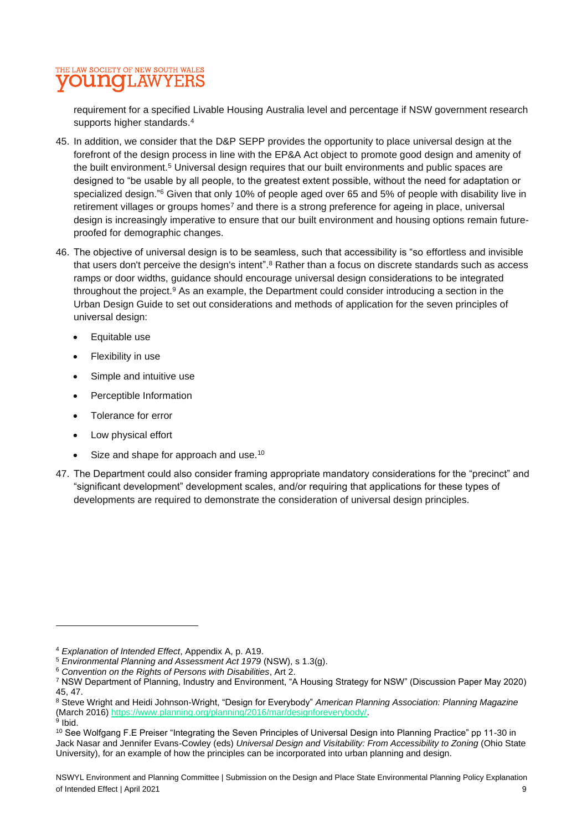### THE LAW SOCIETY OF NEW SOUTH WALES **VOUNGLAWYERS**

requirement for a specified Livable Housing Australia level and percentage if NSW government research supports higher standards. 4

- 45. In addition, we consider that the D&P SEPP provides the opportunity to place universal design at the forefront of the design process in line with the EP&A Act object to promote good design and amenity of the built environment. <sup>5</sup> Universal design requires that our built environments and public spaces are designed to "be usable by all people, to the greatest extent possible, without the need for adaptation or specialized design."<sup>6</sup> Given that only 10% of people aged over 65 and 5% of people with disability live in retirement villages or groups homes<sup>7</sup> and there is a strong preference for ageing in place, universal design is increasingly imperative to ensure that our built environment and housing options remain futureproofed for demographic changes.
- 46. The objective of universal design is to be seamless, such that accessibility is "so effortless and invisible that users don't perceive the design's intent". <sup>8</sup> Rather than a focus on discrete standards such as access ramps or door widths, guidance should encourage universal design considerations to be integrated throughout the project. <sup>9</sup> As an example, the Department could consider introducing a section in the Urban Design Guide to set out considerations and methods of application for the seven principles of universal design:
	- Equitable use
	- Flexibility in use
	- Simple and intuitive use
	- Perceptible Information
	- Tolerance for error
	- Low physical effort
	- Size and shape for approach and use.<sup>10</sup>
- 47. The Department could also consider framing appropriate mandatory considerations for the "precinct" and "significant development" development scales, and/or requiring that applications for these types of developments are required to demonstrate the consideration of universal design principles.

<sup>4</sup> *Explanation of Intended Effect*, Appendix A, p. A19.

<sup>5</sup> *Environmental Planning and Assessment Act 1979* (NSW), s 1.3(g).

<sup>6</sup> *Convention on the Rights of Persons with Disabilities*, Art 2.

<sup>7</sup> NSW Department of Planning, Industry and Environment, "A Housing Strategy for NSW" (Discussion Paper May 2020) 45, 47.

<sup>8</sup> Steve Wright and Heidi Johnson-Wright, "Design for Everybody" *American Planning Association: Planning Magazine*  (March 2016[\) https://www.planning.org/planning/2016/mar/designforeverybody/.](https://www.planning.org/planning/2016/mar/designforeverybody/)

<sup>&</sup>lt;sup>9</sup> Ibid.

<sup>10</sup> See Wolfgang F.E Preiser "Integrating the Seven Principles of Universal Design into Planning Practice" pp 11-30 in Jack Nasar and Jennifer Evans-Cowley (eds) *Universal Design and Visitability: From Accessibility to Zoning* (Ohio State University), for an example of how the principles can be incorporated into urban planning and design.